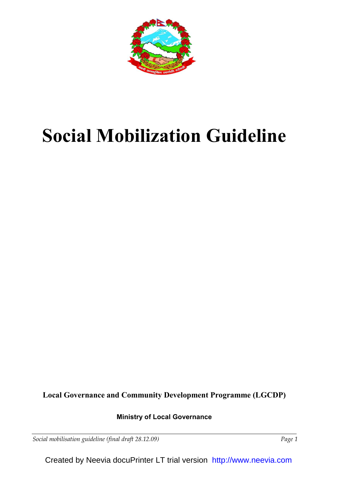

# Social Mobilization Guideline

Local Governance and Community Development Programme (LGCDP)

# Ministry of Local Governance

Social mobilisation guideline (final draft 28.12.09) Social mobilisation guideline (final draft 28.12.09)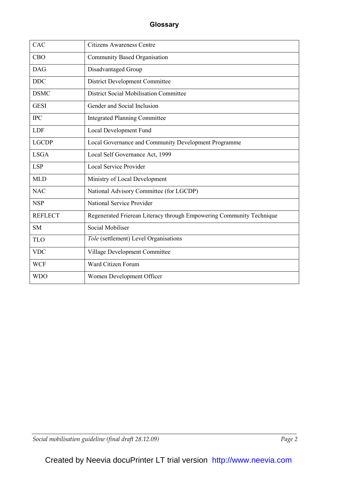| CAC            | <b>Citizens Awareness Centre</b>                                     |
|----------------|----------------------------------------------------------------------|
| <b>CBO</b>     | Community Based Organisation                                         |
| <b>DAG</b>     | Disadvantaged Group                                                  |
| <b>DDC</b>     | <b>District Development Committee</b>                                |
| <b>DSMC</b>    | <b>District Social Mobilisation Committee</b>                        |
| <b>GESI</b>    | Gender and Social Inclusion                                          |
| <b>IPC</b>     | <b>Integrated Planning Committee</b>                                 |
| <b>LDF</b>     | Local Development Fund                                               |
| <b>LGCDP</b>   | Local Governance and Community Development Programme                 |
| <b>LSGA</b>    | Local Self Governance Act, 1999                                      |
| <b>LSP</b>     | <b>Local Service Provider</b>                                        |
| <b>MLD</b>     | Ministry of Local Development                                        |
| <b>NAC</b>     | National Advisory Committee (for LGCDP)                              |
| <b>NSP</b>     | National Service Provider                                            |
| <b>REFLECT</b> | Regenerated Frierean Literacy through Empowering Community Technique |
| <b>SM</b>      | Social Mobiliser                                                     |
| <b>TLO</b>     | Tole (settlement) Level Organisations                                |
| <b>VDC</b>     | Village Development Committee                                        |
| <b>WCF</b>     | Ward Citizen Forum                                                   |
| <b>WDO</b>     | Women Development Officer                                            |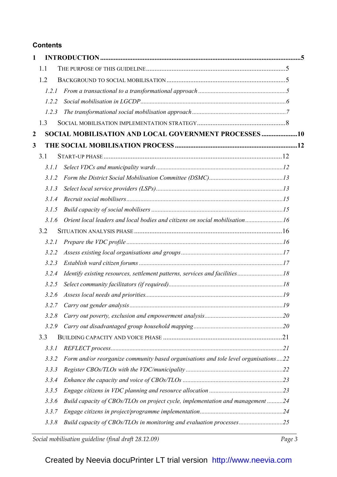# **Contents**

| 1                |       |                                                                                     |     |
|------------------|-------|-------------------------------------------------------------------------------------|-----|
|                  | 1.1   |                                                                                     |     |
|                  | 1.2   |                                                                                     |     |
|                  | 1.2.1 |                                                                                     |     |
|                  | 1.2.2 |                                                                                     |     |
|                  | 1.2.3 |                                                                                     |     |
|                  | 1.3   |                                                                                     |     |
| $\boldsymbol{2}$ |       | SOCIAL MOBILISATION AND LOCAL GOVERNMENT PROCESSES 10                               |     |
| 3                |       |                                                                                     |     |
|                  | 3.1   |                                                                                     |     |
|                  | 3.1.1 |                                                                                     |     |
|                  | 3.1.2 |                                                                                     |     |
|                  | 3.1.3 |                                                                                     |     |
|                  | 3.1.4 |                                                                                     |     |
|                  | 3.1.5 |                                                                                     |     |
|                  | 3.1.6 | Orient local leaders and local bodies and citizens on social mobilisation16         |     |
|                  | 3.2   |                                                                                     |     |
|                  | 3.2.1 |                                                                                     |     |
|                  | 3.2.2 |                                                                                     |     |
|                  | 3.2.3 |                                                                                     |     |
|                  | 3.2.4 |                                                                                     |     |
|                  | 3.2.5 |                                                                                     |     |
|                  | 3.2.6 |                                                                                     |     |
|                  |       |                                                                                     | .19 |
|                  | 3.2.8 |                                                                                     |     |
|                  | 3.2.9 |                                                                                     |     |
|                  | 3.3   |                                                                                     |     |
|                  | 3.3.1 |                                                                                     |     |
|                  | 3.3.2 | Form and/or reorganize community based organisations and tole level organisations22 |     |
|                  | 3.3.3 |                                                                                     |     |
|                  | 3.3.4 |                                                                                     |     |
|                  | 3.3.5 |                                                                                     |     |
|                  | 3.3.6 | Build capacity of CBOs/TLOs on project cycle, implementation and management 24      |     |
|                  | 3.3.7 |                                                                                     |     |
|                  | 3.3.8 | Build capacity of CBOs/TLOs in monitoring and evaluation processes25                |     |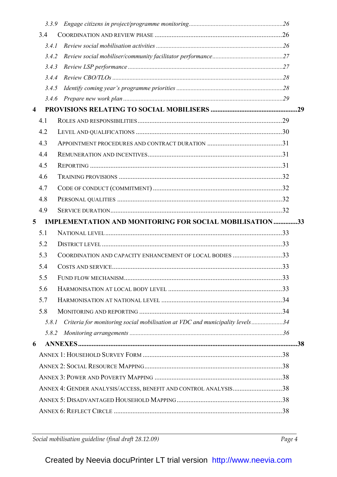|                         | 3.3.9 |                                                                                                                                                                                                                                                                                                                                       |  |
|-------------------------|-------|---------------------------------------------------------------------------------------------------------------------------------------------------------------------------------------------------------------------------------------------------------------------------------------------------------------------------------------|--|
|                         | 3.4   |                                                                                                                                                                                                                                                                                                                                       |  |
|                         | 3.4.1 |                                                                                                                                                                                                                                                                                                                                       |  |
|                         | 3.4.2 |                                                                                                                                                                                                                                                                                                                                       |  |
|                         | 3.4.3 |                                                                                                                                                                                                                                                                                                                                       |  |
|                         | 3.4.4 |                                                                                                                                                                                                                                                                                                                                       |  |
|                         | 3.4.5 |                                                                                                                                                                                                                                                                                                                                       |  |
|                         | 3.4.6 |                                                                                                                                                                                                                                                                                                                                       |  |
| $\overline{\mathbf{4}}$ |       |                                                                                                                                                                                                                                                                                                                                       |  |
|                         | 4.1   |                                                                                                                                                                                                                                                                                                                                       |  |
|                         | 4.2   |                                                                                                                                                                                                                                                                                                                                       |  |
|                         | 4.3   |                                                                                                                                                                                                                                                                                                                                       |  |
|                         | 4.4   |                                                                                                                                                                                                                                                                                                                                       |  |
|                         | 4.5   |                                                                                                                                                                                                                                                                                                                                       |  |
|                         | 4.6   |                                                                                                                                                                                                                                                                                                                                       |  |
|                         | 4.7   |                                                                                                                                                                                                                                                                                                                                       |  |
|                         | 4.8   |                                                                                                                                                                                                                                                                                                                                       |  |
|                         | 4.9   |                                                                                                                                                                                                                                                                                                                                       |  |
| 5                       |       | <b>IMPLEMENTATION AND MONITORING FOR SOCIAL MOBILISATION 33</b>                                                                                                                                                                                                                                                                       |  |
|                         | 5.1   |                                                                                                                                                                                                                                                                                                                                       |  |
|                         | 5.2   |                                                                                                                                                                                                                                                                                                                                       |  |
|                         | 5.3   | COORDINATION AND CAPACITY ENHANCEMENT OF LOCAL BODIES 33                                                                                                                                                                                                                                                                              |  |
|                         | 5.4   |                                                                                                                                                                                                                                                                                                                                       |  |
|                         | 5.5   |                                                                                                                                                                                                                                                                                                                                       |  |
|                         | 5.6   |                                                                                                                                                                                                                                                                                                                                       |  |
|                         | 5.7   |                                                                                                                                                                                                                                                                                                                                       |  |
|                         | 5.8   |                                                                                                                                                                                                                                                                                                                                       |  |
|                         | 5.8.1 | Criteria for monitoring social mobilisation at VDC and municipality levels34                                                                                                                                                                                                                                                          |  |
|                         | 5.8.2 | $\label{eq:nontrivial} \emph{Monitoring arrangements} \emph{} \emph{} \emph{} \emph{} \emph{} \emph{} \emph{} \emph{} \emph{} \emph{} \emph{} \emph{} \emph{} \emph{} \emph{} \emph{} \emph{} \emph{} \emph{} \emph{} \emph{} \emph{} \emph{} \emph{} \emph{} \emph{} \emph{} \emph{} \emph{} \emph{} \emph{} \emph{} \emph{} \emph{$ |  |
| 6                       |       |                                                                                                                                                                                                                                                                                                                                       |  |
|                         |       |                                                                                                                                                                                                                                                                                                                                       |  |
|                         |       |                                                                                                                                                                                                                                                                                                                                       |  |
|                         |       |                                                                                                                                                                                                                                                                                                                                       |  |
|                         |       | ANNEX 4: GENDER ANALYSIS/ACCESS, BENEFIT AND CONTROL ANALYSIS38                                                                                                                                                                                                                                                                       |  |
|                         |       |                                                                                                                                                                                                                                                                                                                                       |  |
|                         |       |                                                                                                                                                                                                                                                                                                                                       |  |
|                         |       |                                                                                                                                                                                                                                                                                                                                       |  |

Social mobilisation guideline (final draft 28.12.09)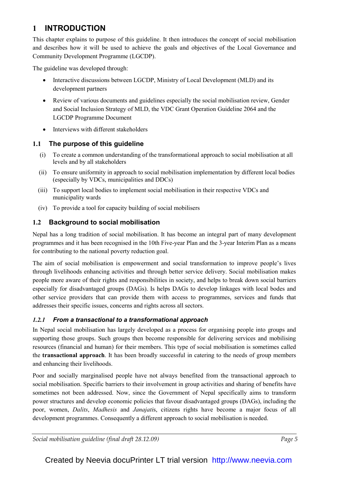# 1 INTRODUCTION

This chapter explains to purpose of this guideline. It then introduces the concept of social mobilisation and describes how it will be used to achieve the goals and objectives of the Local Governance and Community Development Programme (LGCDP).

The guideline was developed through:

- Interactive discussions between LGCDP, Ministry of Local Development (MLD) and its development partners
- Review of various documents and guidelines especially the social mobilisation review, Gender and Social Inclusion Strategy of MLD, the VDC Grant Operation Guideline 2064 and the LGCDP Programme Document
- Interviews with different stakeholders

## 1.1 The purpose of this guideline

- (i) To create a common understanding of the transformational approach to social mobilisation at all levels and by all stakeholders
- (ii) To ensure uniformity in approach to social mobilisation implementation by different local bodies (especially by VDCs, municipalities and DDCs)
- (iii) To support local bodies to implement social mobilisation in their respective VDCs and municipality wards
- (iv) To provide a tool for capacity building of social mobilisers

# 1.2 Background to social mobilisation

Nepal has a long tradition of social mobilisation. It has become an integral part of many development programmes and it has been recognised in the 10th Five-year Plan and the 3-year Interim Plan as a means for contributing to the national poverty reduction goal.

The aim of social mobilisation is empowerment and social transformation to improve people's lives through livelihoods enhancing activities and through better service delivery. Social mobilisation makes people more aware of their rights and responsibilities in society, and helps to break down social barriers especially for disadvantaged groups (DAGs). Is helps DAGs to develop linkages with local bodes and other service providers that can provide them with access to programmes, services and funds that addresses their specific issues, concerns and rights across all sectors.

## 1.2.1 From a transactional to a transformational approach

In Nepal social mobilisation has largely developed as a process for organising people into groups and supporting those groups. Such groups then become responsible for delivering services and mobilising resources (financial and human) for their members. This type of social mobilisation is sometimes called the transactional approach. It has been broadly successful in catering to the needs of group members and enhancing their livelihoods.

Poor and socially marginalised people have not always benefited from the transactional approach to social mobilisation. Specific barriers to their involvement in group activities and sharing of benefits have sometimes not been addressed. Now, since the Government of Nepal specifically aims to transform power structures and develop economic policies that favour disadvantaged groups (DAGs), including the poor, women, *Dalits*, *Madhesis* and *Janajatis*, citizens rights have become a major focus of all development programmes. Consequently a different approach to social mobilisation is needed.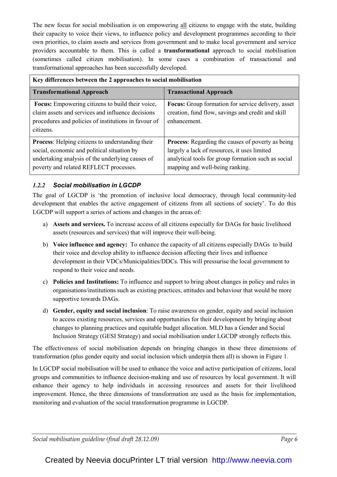The new focus for social mobilisation is on empowering all citizens to engage with the state, building their capacity to voice their views, to influence policy and development programmes according to their own priorities, to claim assets and services from government and to make local government and service providers accountable to them. This is called a transformational approach to social mobilisation (sometimes called citizen mobilisation). In some cases a combination of transactional and transformational approaches has been successfully developed.

| Key differences between the 2 approaches to social mobilisation                                                                                                                                      |                                                                                                                                                                                                    |  |  |  |  |  |
|------------------------------------------------------------------------------------------------------------------------------------------------------------------------------------------------------|----------------------------------------------------------------------------------------------------------------------------------------------------------------------------------------------------|--|--|--|--|--|
| <b>Transformational Approach</b>                                                                                                                                                                     | <b>Transactional Approach</b>                                                                                                                                                                      |  |  |  |  |  |
| Focus: Empowering citizens to build their voice,<br>claim assets and services and influence decisions<br>procedures and policies of institutions in favour of<br>citizens.                           | <b>Focus:</b> Group formation for service delivery, asset<br>creation, fund flow, savings and credit and skill<br>enhancement.                                                                     |  |  |  |  |  |
| <b>Process:</b> Helping citizens to understanding their<br>social, economic and political situation by<br>undertaking analysis of the underlying causes of<br>poverty and related REFLECT processes. | <b>Process:</b> Regarding the causes of poverty as being<br>largely a lack of resources, it uses limited<br>analytical tools for group formation such as social<br>mapping and well-being ranking. |  |  |  |  |  |

## 1.2.2 Social mobilisation in LGCDP

The goal of LGCDP is 'the promotion of inclusive local democracy, through local community-led development that enables the active engagement of citizens from all sections of society'. To do this LGCDP will support a series of actions and changes in the areas of:

- a) Assets and services. To increase access of all citizens especially for DAGs for basic livelihood assets (resources and services) that will improve their well-being.
- b) Voice influence and agency: To enhance the capacity of all citizens especially DAGs to build their voice and develop ability to influence decision affecting their lives and influence development in their VDCs/Municipalities/DDCs. This will pressurise the local government to respond to their voice and needs.
- c) Policies and Institutions: To influence and support to bring about changes in policy and rules in organisations/institutions such as existing practices, attitudes and behaviour that would be more supportive towards DAGs.
- d) Gender, equity and social inclusion: To raise awareness on gender, equity and social inclusion to access existing resources, services and opportunities for their development by bringing about changes to planning practices and equitable budget allocation. MLD has a Gender and Social Inclusion Strategy (GESI Strategy) and social mobilisation under LGCDP strongly reflects this.

The effectiveness of social mobilisation depends on bringing changes in these three dimensions of transformation (plus gender equity and social inclusion which underpin them all) is shown in Figure 1.

In LGCDP social mobilisation will be used to enhance the voice and active participation of citizens, local groups and communities to influence decision-making and use of resources by local government. It will enhance their agency to help individuals in accessing resources and assets for their livelihood improvement. Hence, the three dimensions of transformation are used as the basis for implementation, monitoring and evaluation of the social transformation programme in LGCDP.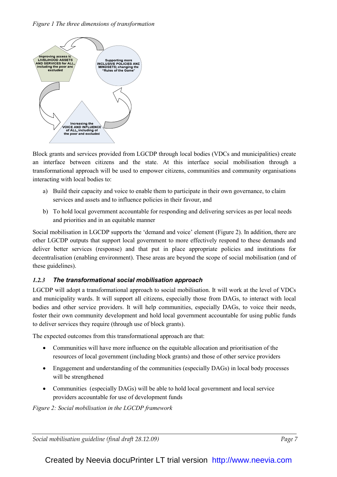## Figure 1 The three dimensions of transformation



Block grants and services provided from LGCDP through local bodies (VDCs and municipalities) create an interface between citizens and the state. At this interface social mobilisation through a transformational approach will be used to empower citizens, communities and community organisations interacting with local bodies to:

- a) Build their capacity and voice to enable them to participate in their own governance, to claim services and assets and to influence policies in their favour, and
- b) To hold local government accountable for responding and delivering services as per local needs and priorities and in an equitable manner

Social mobilisation in LGCDP supports the 'demand and voice' element (Figure 2). In addition, there are other LGCDP outputs that support local government to more effectively respond to these demands and deliver better services (response) and that put in place appropriate policies and institutions for decentralisation (enabling environment). These areas are beyond the scope of social mobilisation (and of these guidelines).

## 1.2.3 The transformational social mobilisation approach

LGCDP will adopt a transformational approach to social mobilisation. It will work at the level of VDCs and municipality wards. It will support all citizens, especially those from DAGs, to interact with local bodies and other service providers. It will help communities, especially DAGs, to voice their needs, foster their own community development and hold local government accountable for using public funds to deliver services they require (through use of block grants).

The expected outcomes from this transformational approach are that:

- Communities will have more influence on the equitable allocation and prioritisation of the resources of local government (including block grants) and those of other service providers
- Engagement and understanding of the communities (especially DAGs) in local body processes will be strengthened
- Communities (especially DAGs) will be able to hold local government and local service providers accountable for use of development funds

Figure 2: Social mobilisation in the LGCDP framework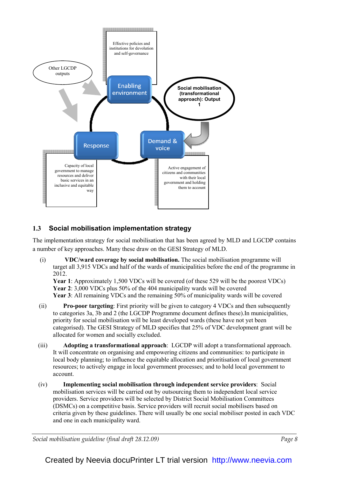

# 1.3 Social mobilisation implementation strategy

The implementation strategy for social mobilisation that has been agreed by MLD and LGCDP contains a number of key approaches. Many these draw on the GESI Strategy of MLD.

(i) VDC/ward coverage by social mobilisation. The social mobilisation programme will target all 3,915 VDCs and half of the wards of municipalities before the end of the programme in 2012.

Year 1: Approximately 1,500 VDCs will be covered (of these 529 will be the poorest VDCs) Year 2: 3,000 VDCs plus 50% of the 404 municipality wards will be covered Year 3: All remaining VDCs and the remaining 50% of municipality wards will be covered

- (ii) Pro-poor targeting: First priority will be given to category 4 VDCs and then subsequently to categories 3a, 3b and 2 (the LGCDP Programme document defines these).In municipalities, priority for social mobilisation will be least developed wards (these have not yet been categorised). The GESI Strategy of MLD specifies that 25% of VDC development grant will be allocated for women and socially excluded.
- (iii) Adopting a transformational approach: LGCDP will adopt a transformational approach. It will concentrate on organising and empowering citizens and communities: to participate in local body planning; to influence the equitable allocation and prioritisation of local government resources; to actively engage in local government processes; and to hold local government to account.
- (iv) Implementing social mobilisation through independent service providers: Social mobilisation services will be carried out by outsourcing them to independent local service providers. Service providers will be selected by District Social Mobilisation Committees (DSMCs) on a competitive basis. Service providers will recruit social mobilisers based on criteria given by these guidelines. There will usually be one social mobiliser posted in each VDC and one in each municipality ward.

Social mobilisation guideline (final draft 28.12.09) Social mobilisation graphs are page 8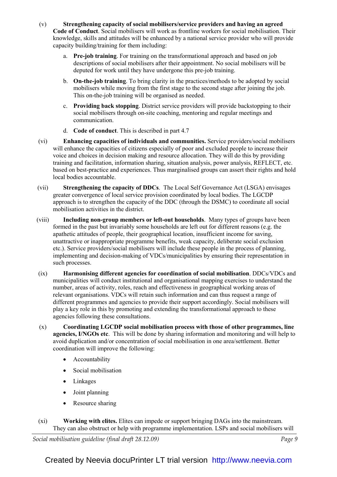- (v) Strengthening capacity of social mobilisers/service providers and having an agreed Code of Conduct. Social mobilisers will work as frontline workers for social mobilisation. Their knowledge, skills and attitudes will be enhanced by a national service provider who will provide capacity building/training for them including:
	- a. Pre-job training. For training on the transformational approach and based on job descriptions of social mobilisers after their appointment. No social mobilisers will be deputed for work until they have undergone this pre-job training.
	- b. On-the-job training. To bring clarity in the practices/methods to be adopted by social mobilisers while moving from the first stage to the second stage after joining the job. This on-the-job training will be organised as needed.
	- c. Providing back stopping. District service providers will provide backstopping to their social mobilisers through on-site coaching, mentoring and regular meetings and communication.
	- d. Code of conduct. This is described in part 4.7
- (vi) Enhancing capacities of individuals and communities. Service providers/social mobilisers will enhance the capacities of citizens especially of poor and excluded people to increase their voice and choices in decision making and resource allocation. They will do this by providing training and facilitation, information sharing, situation analysis, power analysis, REFLECT, etc. based on best-practice and experiences. Thus marginalised groups can assert their rights and hold local bodies accountable.
- (vii) Strengthening the capacity of DDCs. The Local Self Governance Act (LSGA) envisages greater convergence of local service provision coordinated by local bodies. The LGCDP approach is to strengthen the capacity of the DDC (through the DSMC) to coordinate all social mobilisation activities in the district.
- (viii) Including non-group members or left-out households. Many types of groups have been formed in the past but invariably some households are left out for different reasons (e.g. the apathetic attitudes of people, their geographical location, insufficient income for saving, unattractive or inappropriate programme benefits, weak capacity, deliberate social exclusion etc.). Service providers/social mobilisers will include these people in the process of planning, implementing and decision-making of VDCs/municipalities by ensuring their representation in such processes.
- (ix) Harmonising different agencies for coordination of social mobilisation. DDCs/VDCs and municipalities will conduct institutional and organisational mapping exercises to understand the number, areas of activity, roles, reach and effectiveness in geographical working areas of relevant organisations. VDCs will retain such information and can thus request a range of different programmes and agencies to provide their support accordingly. Social mobilisers will play a key role in this by promoting and extending the transformational approach to these agencies following these consultations.
- (x) Coordinating LGCDP social mobilisation process with those of other programmes, line agencies, I/NGOs etc. This will be done by sharing information and monitoring and will help to avoid duplication and/or concentration of social mobilisation in one area/settlement. Better coordination will improve the following:
	- Accountability
	- Social mobilisation
	- Linkages
	- Joint planning
	- Resource sharing
- (xi) Working with elites. Elites can impede or support bringing DAGs into the mainstream. They can also obstruct or help with programme implementation. LSPs and social mobilisers will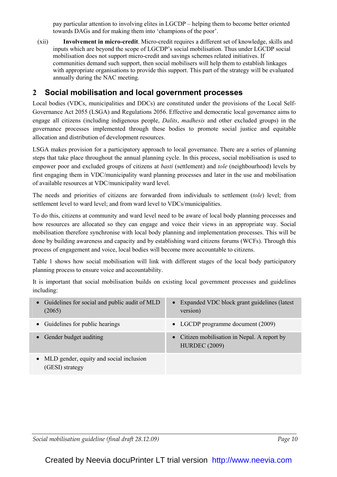pay particular attention to involving elites in LGCDP – helping them to become better oriented towards DAGs and for making them into 'champions of the poor'.

(xii) Involvement in micro-credit. Micro-credit requires a different set of knowledge, skills and inputs which are beyond the scope of LGCDP's social mobilisation. Thus under LGCDP social mobilisation does not support micro-credit and savings schemes related initiatives. If communities demand such support, then social mobilisers will help them to establish linkages with appropriate organisations to provide this support. This part of the strategy will be evaluated annually during the NAC meeting.

# 2 Social mobilisation and local government processes

Local bodies (VDCs, municipalities and DDCs) are constituted under the provisions of the Local Self-Governance Act 2055 (LSGA) and Regulations 2056. Effective and democratic local governance aims to engage all citizens (including indigenous people, Dalits, madhesis and other excluded groups) in the governance processes implemented through these bodies to promote social justice and equitable allocation and distribution of development resources.

LSGA makes provision for a participatory approach to local governance. There are a series of planning steps that take place throughout the annual planning cycle. In this process, social mobilisation is used to empower poor and excluded groups of citizens at *basti* (settlement) and *tole* (neighbourhood) levels by first engaging them in VDC/municipality ward planning processes and later in the use and mobilisation of available resources at VDC/municipality ward level.

The needs and priorities of citizens are forwarded from individuals to settlement (tole) level; from settlement level to ward level; and from ward level to VDCs/municipalities.

To do this, citizens at community and ward level need to be aware of local body planning processes and how resources are allocated so they can engage and voice their views in an appropriate way. Social mobilisation therefore synchronise with local body planning and implementation processes. This will be done by building awareness and capacity and by establishing ward citizens forums (WCFs). Through this process of engagement and voice, local bodies will become more accountable to citizens.

Table 1 shows how social mobilisation will link with different stages of the local body participatory planning process to ensure voice and accountability.

It is important that social mobilisation builds on existing local government processes and guidelines including:

| • Guidelines for social and public audit of MLD<br>(2065)    | • Expanded VDC block grant guidelines (latest<br>version)            |
|--------------------------------------------------------------|----------------------------------------------------------------------|
| • Guidelines for public hearings                             | • LGCDP programme document (2009)                                    |
| • Gender budget auditing                                     | • Citizen mobilisation in Nepal. A report by<br><b>HURDEC</b> (2009) |
| • MLD gender, equity and social inclusion<br>(GESI) strategy |                                                                      |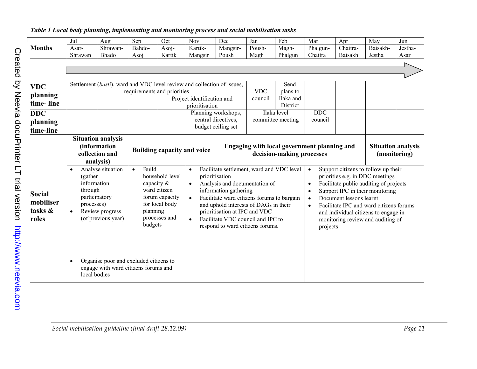|                                                | Jul                                                                                                                                                                                                                                                                     | Aug                                                                              | Sep                                       | Oct                                                                                                | Nov                                                                                                                                                                                                                                                                                                                          | Dec                 | Jan                                                                                                                                                                                                                                                                                                                                                                                                     | Feb               | Mar      | Apr      | May      | Jun     |
|------------------------------------------------|-------------------------------------------------------------------------------------------------------------------------------------------------------------------------------------------------------------------------------------------------------------------------|----------------------------------------------------------------------------------|-------------------------------------------|----------------------------------------------------------------------------------------------------|------------------------------------------------------------------------------------------------------------------------------------------------------------------------------------------------------------------------------------------------------------------------------------------------------------------------------|---------------------|---------------------------------------------------------------------------------------------------------------------------------------------------------------------------------------------------------------------------------------------------------------------------------------------------------------------------------------------------------------------------------------------------------|-------------------|----------|----------|----------|---------|
| <b>Months</b>                                  | Asar-                                                                                                                                                                                                                                                                   | Shrawan-                                                                         | Bahdo-                                    | Asoj-                                                                                              | Kartik-                                                                                                                                                                                                                                                                                                                      | Mangsir-            | Poush-                                                                                                                                                                                                                                                                                                                                                                                                  | Magh-             | Phalgun- | Chaitra- | Baisakh- | Jestha- |
|                                                | Shrawan                                                                                                                                                                                                                                                                 | Bhado                                                                            | Asoj                                      | Kartik                                                                                             | Mangsir                                                                                                                                                                                                                                                                                                                      | Poush               | Magh                                                                                                                                                                                                                                                                                                                                                                                                    | Phalgun           | Chaitra  | Baisakh  | Jestha   | Asar    |
|                                                |                                                                                                                                                                                                                                                                         |                                                                                  |                                           |                                                                                                    |                                                                                                                                                                                                                                                                                                                              |                     |                                                                                                                                                                                                                                                                                                                                                                                                         |                   |          |          |          |         |
|                                                |                                                                                                                                                                                                                                                                         |                                                                                  |                                           |                                                                                                    |                                                                                                                                                                                                                                                                                                                              |                     |                                                                                                                                                                                                                                                                                                                                                                                                         |                   |          |          |          |         |
|                                                |                                                                                                                                                                                                                                                                         |                                                                                  |                                           |                                                                                                    |                                                                                                                                                                                                                                                                                                                              |                     |                                                                                                                                                                                                                                                                                                                                                                                                         |                   |          |          |          |         |
| <b>VDC</b>                                     |                                                                                                                                                                                                                                                                         | Settlement (basti), ward and VDC level review and collection of issues,          |                                           |                                                                                                    |                                                                                                                                                                                                                                                                                                                              |                     |                                                                                                                                                                                                                                                                                                                                                                                                         | Send              |          |          |          |         |
|                                                |                                                                                                                                                                                                                                                                         |                                                                                  | requirements and priorities               |                                                                                                    |                                                                                                                                                                                                                                                                                                                              |                     | <b>VDC</b>                                                                                                                                                                                                                                                                                                                                                                                              | plans to          |          |          |          |         |
| planning                                       |                                                                                                                                                                                                                                                                         |                                                                                  |                                           |                                                                                                    | Project identification and                                                                                                                                                                                                                                                                                                   |                     | council                                                                                                                                                                                                                                                                                                                                                                                                 | Ilaka and         |          |          |          |         |
| time-line                                      |                                                                                                                                                                                                                                                                         |                                                                                  |                                           |                                                                                                    | prioritisation                                                                                                                                                                                                                                                                                                               |                     |                                                                                                                                                                                                                                                                                                                                                                                                         | District          |          |          |          |         |
| <b>DDC</b>                                     |                                                                                                                                                                                                                                                                         |                                                                                  |                                           |                                                                                                    |                                                                                                                                                                                                                                                                                                                              | Planning workshops, |                                                                                                                                                                                                                                                                                                                                                                                                         | Ilaka level       | DDC      |          |          |         |
| planning                                       |                                                                                                                                                                                                                                                                         |                                                                                  |                                           |                                                                                                    |                                                                                                                                                                                                                                                                                                                              | central directives, |                                                                                                                                                                                                                                                                                                                                                                                                         | committee meeting | council  |          |          |         |
| time-line                                      |                                                                                                                                                                                                                                                                         |                                                                                  |                                           |                                                                                                    |                                                                                                                                                                                                                                                                                                                              | budget ceiling set  |                                                                                                                                                                                                                                                                                                                                                                                                         |                   |          |          |          |         |
|                                                |                                                                                                                                                                                                                                                                         |                                                                                  |                                           |                                                                                                    |                                                                                                                                                                                                                                                                                                                              |                     |                                                                                                                                                                                                                                                                                                                                                                                                         |                   |          |          |          |         |
|                                                |                                                                                                                                                                                                                                                                         | <b>Situation analysis</b><br><i>(information)</i><br>collection and<br>analysis) |                                           | <b>Building capacity and voice</b>                                                                 |                                                                                                                                                                                                                                                                                                                              |                     | Engaging with local government planning and<br><b>Situation analysis</b><br>decision-making processes<br>(monitoring)                                                                                                                                                                                                                                                                                   |                   |          |          |          |         |
| <b>Social</b><br>mobiliser<br>tasks &<br>roles | Analyse situation<br>$\bullet$<br>(gather<br>information<br>through<br>participatory<br>processes)<br>Review progress<br>$\bullet$<br>(of previous year)<br>Organise poor and excluded citizens to<br>$\bullet$<br>engage with ward citizens forums and<br>local bodies |                                                                                  | Build<br>$\bullet$<br>planning<br>budgets | household level<br>capacity &<br>ward citizen<br>forum capacity<br>for local body<br>processes and | Facilitate settlement, ward and VDC level<br>$\bullet$<br>prioritisation<br>Analysis and documentation of<br>$\bullet$<br>information gathering<br>$\bullet$<br>and uphold interests of DAGs in their<br>prioritisation at IPC and VDC<br>Facilitate VDC council and IPC to<br>$\bullet$<br>respond to ward citizens forums. |                     | Support citizens to follow up their<br>$\bullet$<br>priorities e.g. in DDC meetings<br>Facilitate public auditing of projects<br>$\bullet$<br>Support IPC in their monitoring<br>Facilitate ward citizens forums to bargain<br>Document lessons learnt<br>Facilitate IPC and ward citizens forums<br>$\bullet$<br>and individual citizens to engage in<br>monitoring review and auditing of<br>projects |                   |          |          |          |         |

Table 1 Local body planning, implementing and monitoring process and social mobilisation tasks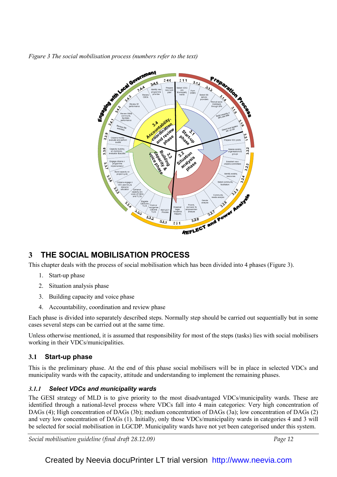Figure 3 The social mobilisation process (numbers refer to the text)



# 3 THE SOCIAL MOBILISATION PROCESS

This chapter deals with the process of social mobilisation which has been divided into 4 phases (Figure 3).

- 1. Start-up phase
- 2. Situation analysis phase
- 3. Building capacity and voice phase
- 4. Accountability, coordination and review phase

Each phase is divided into separately described steps. Normally step should be carried out sequentially but in some cases several steps can be carried out at the same time.

Unless otherwise mentioned, it is assumed that responsibility for most of the steps (tasks) lies with social mobilisers working in their VDCs/municipalities.

# 3.1 Start-up phase

This is the preliminary phase. At the end of this phase social mobilisers will be in place in selected VDCs and municipality wards with the capacity, attitude and understanding to implement the remaining phases.

# 3.1.1 Select VDCs and municipality wards

The GESI strategy of MLD is to give priority to the most disadvantaged VDCs/municipality wards. These are identified through a national-level process where VDCs fall into 4 main categories: Very high concentration of DAGs (4); High concentration of DAGs (3b); medium concentration of DAGs (3a); low concentration of DAGs (2) and very low concentration of DAGs (1). Initially, only those VDCs/municipality wards in categories 4 and 3 will be selected for social mobilisation in LGCDP. Municipality wards have not yet been categorised under this system.

Social mobilisation guideline (final draft 28.12.09) Social mobilisation guideline (final draft 28.12.09)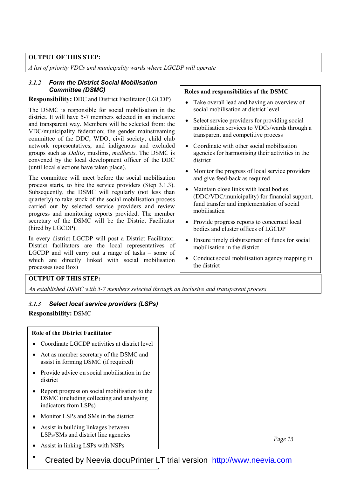## OUTPUT OF THIS STEP:

A list of priority VDCs and municipality wards where LGCDP will operate

## 3.1.2 Form the District Social Mobilisation Committee (DSMC)

#### Responsibility: DDC and District Facilitator (LGCDP)

The DSMC is responsible for social mobilisation in the district. It will have 5-7 members selected in an inclusive and transparent way. Members will be selected from: the VDC/municipality federation; the gender mainstreaming committee of the DDC; WDO; civil society; child club network representatives; and indigenous and excluded groups such as Dalits, muslims, madhesis. The DSMC is convened by the local development officer of the DDC (until local elections have taken place).

The committee will meet before the social mobilisation process starts, to hire the service providers (Step 3.1.3). Subsequently, the DSMC will regularly (not less than quarterly) to take stock of the social mobilisation process carried out by selected service providers and review progress and monitoring reports provided. The member secretary of the DSMC will be the District Facilitator (hired by LGCDP).

In every district LGCDP will post a District Facilitator. District facilitators are the local representatives of LGCDP and will carry out a range of tasks – some of which are directly linked with social mobilisation processes (see Box)

#### Roles and responsibilities of the DSMC

- Take overall lead and having an overview of social mobilisation at district level
- Select service providers for providing social mobilisation services to VDCs/wards through a transparent and competitive process
- Coordinate with other social mobilisation agencies for harmonising their activities in the district
- Monitor the progress of local service providers and give feed-back as required
- Maintain close links with local bodies (DDC/VDC/municipality) for financial support, fund transfer and implementation of social mobilisation
- Provide progress reports to concerned local bodies and cluster offices of LGCDP
- Ensure timely disbursement of funds for social mobilisation in the district
- Conduct social mobilisation agency mapping in the district

## OUTPUT OF THIS STEP:

An established DSMC with 5-7 members selected through an inclusive and transparent process

## 3.1.3 Select local service providers (LSPs)

Responsibility: DSMC

#### Role of the District Facilitator

- Coordinate LGCDP activities at district level
- Act as member secretary of the DSMC and assist in forming DSMC (if required)
- Provide advice on social mobilisation in the district
- Report progress on social mobilisation to the DSMC (including collecting and analysing indicators from LSPs)
- Monitor LSPs and SMs in the district
- $Page 13$ • Assist in building linkages between LSPs/SMs and district line agencies
	- Assist in linking LSPs with NSPs
- 
- Created by Neevia docuPrinter LT trial version <http://www.neevia.com>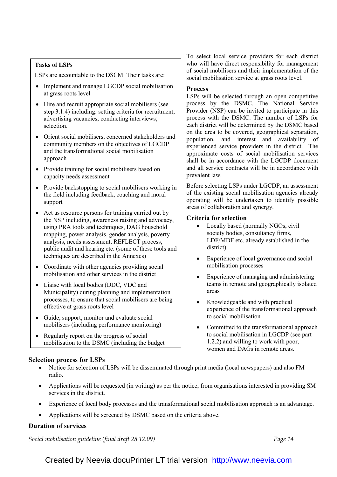## Tasks of LSPs

LSPs are accountable to the DSCM. Their tasks are:

- Implement and manage LGCDP social mobilisation at grass roots level
- Hire and recruit appropriate social mobilisers (see step 3.1.4) including: setting criteria for recruitment; advertising vacancies; conducting interviews; selection.
- Orient social mobilisers, concerned stakeholders and community members on the objectives of LGCDP and the transformational social mobilisation approach
- Provide training for social mobilisers based on capacity needs assessment
- Provide backstopping to social mobilisers working in the field including feedback, coaching and moral support
- Act as resource persons for training carried out by the NSP including, awareness raising and advocacy, using PRA tools and techniques, DAG household mapping, power analysis, gender analysis, poverty analysis, needs assessment, REFLECT process, public audit and hearing etc. (some of these tools and techniques are described in the Annexes)
- Coordinate with other agencies providing social mobilisation and other services in the district
- Liaise with local bodies (DDC, VDC and Municipality) during planning and implementation processes, to ensure that social mobilisers are being effective at grass roots level
- Guide, support, monitor and evaluate social mobilisers (including performance monitoring)
- Regularly report on the progress of social mobilisation to the DSMC (including the budget

#### To select local service providers for each district who will have direct responsibility for management of social mobilisers and their implementation of the social mobilisation service at grass roots level.

#### **Process**

LSPs will be selected through an open competitive process by the DSMC. The National Service Provider (NSP) can be invited to participate in this process with the DSMC. The number of LSPs for each district will be determined by the DSMC based on the area to be covered, geographical separation, population, and interest and availability of experienced service providers in the district. The approximate costs of social mobilisation services shall be in accordance with the LGCDP document and all service contracts will be in accordance with prevalent law.

Before selecting LSPs under LGCDP, an assessment of the existing social mobilisation agencies already operating will be undertaken to identify possible areas of collaboration and synergy.

## Criteria for selection

- Locally based (normally NGOs, civil society bodies, consultancy firms, LDF/MDF etc. already established in the district)
- Experience of local governance and social mobilisation processes
- Experience of managing and administering teams in remote and geographically isolated areas
- Knowledgeable and with practical experience of the transformational approach to social mobilisation
- Committed to the transformational approach to social mobilisation in LGCDP (see part 1.2.2) and willing to work with poor, women and DAGs in remote areas.

## Selection process for LSPs

- Notice for selection of LSPs will be disseminated through print media (local newspapers) and also FM radio.
- Applications will be requested (in writing) as per the notice, from organisations interested in providing SM services in the district.
- Experience of local body processes and the transformational social mobilisation approach is an advantage.
- Applications will be screened by DSMC based on the criteria above.

## Duration of services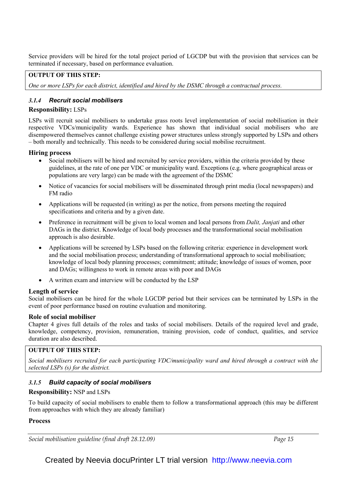Service providers will be hired for the total project period of LGCDP but with the provision that services can be terminated if necessary, based on performance evaluation.

## OUTPUT OF THIS STEP:

One or more LSPs for each district, identified and hired by the DSMC through a contractual process.

## 3.1.4 Recruit social mobilisers

## Responsibility: LSPs

LSPs will recruit social mobilisers to undertake grass roots level implementation of social mobilisation in their respective VDCs/municipality wards. Experience has shown that individual social mobilisers who are disempowered themselves cannot challenge existing power structures unless strongly supported by LSPs and others – both morally and technically. This needs to be considered during social mobilise recruitment.

## Hiring process

- Social mobilisers will be hired and recruited by service providers, within the criteria provided by these guidelines, at the rate of one per VDC or municipality ward. Exceptions (e.g. where geographical areas or populations are very large) can be made with the agreement of the DSMC
- Notice of vacancies for social mobilisers will be disseminated through print media (local newspapers) and FM radio
- Applications will be requested (in writing) as per the notice, from persons meeting the required specifications and criteria and by a given date.
- Preference in recruitment will be given to local women and local persons from *Dalit, Janjati* and other DAGs in the district. Knowledge of local body processes and the transformational social mobilisation approach is also desirable.
- Applications will be screened by LSPs based on the following criteria: experience in development work and the social mobilisation process; understanding of transformational approach to social mobilisation; knowledge of local body planning processes; commitment; attitude; knowledge of issues of women, poor and DAGs; willingness to work in remote areas with poor and DAGs
- A written exam and interview will be conducted by the LSP

## Length of service

Social mobilisers can be hired for the whole LGCDP period but their services can be terminated by LSPs in the event of poor performance based on routine evaluation and monitoring.

#### Role of social mobiliser

Chapter 4 gives full details of the roles and tasks of social mobilisers. Details of the required level and grade, knowledge, competency, provision, remuneration, training provision, code of conduct, qualities, and service duration are also described.

## OUTPUT OF THIS STEP:

Social mobilisers recruited for each participating VDC/municipality ward and hired through a contract with the selected LSPs (s) for the district.

## 3.1.5 Build capacity of social mobilisers

## Responsibility: NSP and LSPs

To build capacity of social mobilisers to enable them to follow a transformational approach (this may be different from approaches with which they are already familiar)

#### Process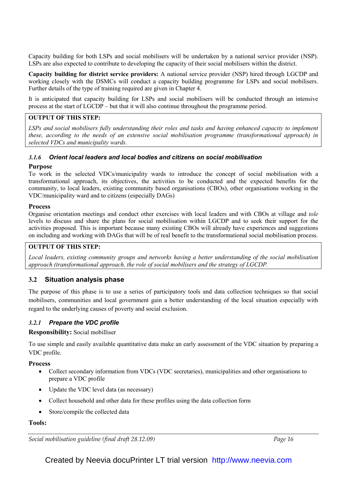Capacity building for both LSPs and social mobilisers will be undertaken by a national service provider (NSP). LSPs are also expected to contribute to developing the capacity of their social mobilisers within the district.

Capacity building for district service providers: A national service provider (NSP) hired through LGCDP and working closely with the DSMCs will conduct a capacity building programme for LSPs and social mobilisers. Further details of the type of training required are given in Chapter 4.

It is anticipated that capacity building for LSPs and social mobilisers will be conducted through an intensive process at the start of LGCDP – but that it will also continue throughout the programme period.

## OUTPUT OF THIS STEP:

LSPs and social mobilisers fully understanding their roles and tasks and having enhanced capacity to implement these, according to the needs of an extensive social mobilisation programme (transformational approach) in selected VDCs and municipality wards.

## 3.1.6 Orient local leaders and local bodies and citizens on social mobilisation

#### Purpose

To work in the selected VDCs/municipality wards to introduce the concept of social mobilisation with a transformational approach, its objectives, the activities to be conducted and the expected benefits for the community, to local leaders, existing community based organisations (CBOs), other organisations working in the VDC/municipality ward and to citizens (especially DAGs)

#### Process

Organise orientation meetings and conduct other exercises with local leaders and with CBOs at village and tole levels to discuss and share the plans for social mobilisation within LGCDP and to seek their support for the activities proposed. This is important because many existing CBOs will already have experiences and suggestions on including and working with DAGs that will be of real benefit to the transformational social mobilisation process.

## OUTPUT OF THIS STEP:

Local leaders, existing community groups and networks having a better understanding of the social mobilisation approach (transformational approach, the role of social mobilisers and the strategy of LGCDP.

## 3.2 Situation analysis phase

The purpose of this phase is to use a series of participatory tools and data collection techniques so that social mobilisers, communities and local government gain a better understanding of the local situation especially with regard to the underlying causes of poverty and social exclusion.

## 3.2.1 Prepare the VDC profile

## Responsibility: Social mobilliser

To use simple and easily available quantitative data make an early assessment of the VDC situation by preparing a VDC profile.

## **Process**

- Collect secondary information from VDCs (VDC secretaries), municipalities and other organisations to prepare a VDC profile
- Update the VDC level data (as necessary)
- Collect household and other data for these profiles using the data collection form
- Store/compile the collected data

## Tools:

Social mobilisation guideline (final draft 28.12.09) Social mobilisation guideline (final draft 28.12.09)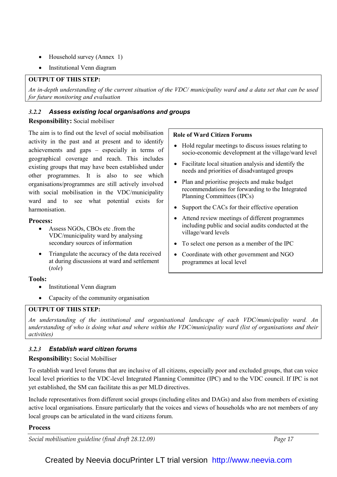- Household survey (Annex 1)
- Institutional Venn diagram

## OUTPUT OF THIS STEP:

An in-depth understanding of the current situation of the VDC/ municipality ward and a data set that can be used for future monitoring and evaluation

## 3.2.2 Assess existing local organisations and groups

## Responsibility: Social mobiliser

The aim is to find out the level of social mobilisation activity in the past and at present and to identify achievements and gaps – especially in terms of geographical coverage and reach. This includes existing groups that may have been established under other programmes. It is also to see which organisations/programmes are still actively involved with social mobilisation in the VDC/municipality ward and to see what potential exists for harmonisation.

## Process:

- Assess NGOs, CBOs etc .from the VDC/municipality ward by analysing secondary sources of information
- Triangulate the accuracy of the data received at during discussions at ward and settlement (tole)

## Tools:

- Institutional Venn diagram
- Capacity of the community organisation

## OUTPUT OF THIS STEP:

An understanding of the institutional and organisational landscape of each VDC/municipality ward. An understanding of who is doing what and where within the VDC/municipality ward (list of organisations and their activities)

# 3.2.3 Establish ward citizen forums

## Responsibility: Social Mobilliser

To establish ward level forums that are inclusive of all citizens, especially poor and excluded groups, that can voice local level priorities to the VDC-level Integrated Planning Committee (IPC) and to the VDC council. If IPC is not yet established, the SM can facilitate this as per MLD directives.

Include representatives from different social groups (including elites and DAGs) and also from members of existing active local organisations. Ensure particularly that the voices and views of households who are not members of any local groups can be articulated in the ward citizens forum.

## Process

Social mobilisation guideline (final draft 28.12.09) Social mobilisation guideline (final draft 28.12.09)

## Role of Ward Citizen Forums

- Hold regular meetings to discuss issues relating to socio-economic development at the village/ward level
- Facilitate local situation analysis and identify the needs and priorities of disadvantaged groups
- Plan and prioritise projects and make budget recommendations for forwarding to the Integrated Planning Committees (IPCs)
- Support the CACs for their effective operation
- Attend review meetings of different programmes including public and social audits conducted at the village/ward levels
- To select one person as a member of the IPC
- Coordinate with other government and NGO programmes at local level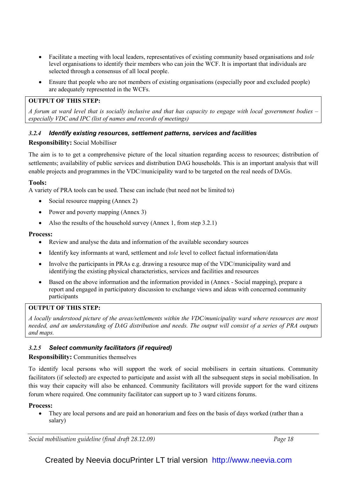- Facilitate a meeting with local leaders, representatives of existing community based organisations and tole level organisations to identify their members who can join the WCF. It is important that individuals are selected through a consensus of all local people.
- Ensure that people who are not members of existing organisations (especially poor and excluded people) are adequately represented in the WCFs.

## OUTPUT OF THIS STEP:

A forum at ward level that is socially inclusive and that has capacity to engage with local government bodies – especially VDC and IPC (list of names and records of meetings)

## 3.2.4 Identify existing resources, settlement patterns, services and facilities

## Responsibility: Social Mobilliser

The aim is to to get a comprehensive picture of the local situation regarding access to resources; distribution of settlements; availability of public services and distribution DAG households. This is an important analysis that will enable projects and programmes in the VDC/municipality ward to be targeted on the real needs of DAGs.

## Tools:

A variety of PRA tools can be used. These can include (but need not be limited to)

- Social resource mapping (Annex 2)
- Power and poverty mapping (Annex 3)
- Also the results of the household survey (Annex 1, from step 3.2.1)

#### Process:

- Review and analyse the data and information of the available secondary sources
- Identify key informants at ward, settlement and *tole* level to collect factual information/data
- Involve the participants in PRAs e.g. drawing a resource map of the VDC/municipality ward and identifying the existing physical characteristics, services and facilities and resources
- Based on the above information and the information provided in (Annex Social mapping), prepare a report and engaged in participatory discussion to exchange views and ideas with concerned community participants

## OUTPUT OF THIS STEP:

A locally understood picture of the areas/settlements within the VDC/municipality ward where resources are most needed, and an understanding of DAG distribution and needs. The output will consist of a series of PRA outputs and maps.

## 3.2.5 Select community facilitators (if required)

## Responsibility: Communities themselves

To identify local persons who will support the work of social mobilisers in certain situations. Community facilitators (if selected) are expected to participate and assist with all the subsequent steps in social mobilisation. In this way their capacity will also be enhanced. Community facilitators will provide support for the ward citizens forum where required. One community facilitator can support up to 3 ward citizens forums.

## Process:

• They are local persons and are paid an honorarium and fees on the basis of days worked (rather than a salary)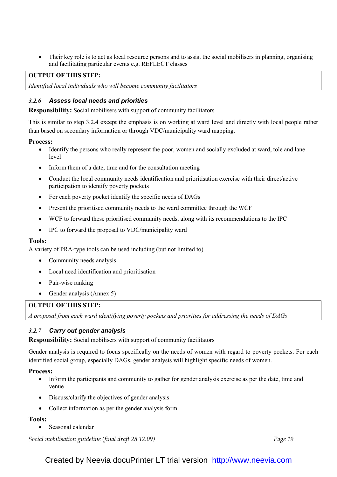• Their key role is to act as local resource persons and to assist the social mobilisers in planning, organising and facilitating particular events e.g. REFLECT classes

## OUTPUT OF THIS STEP:

Identified local individuals who will become community facilitators

## 3.2.6 Assess local needs and priorities

Responsibility: Social mobilisers with support of community facilitators

This is similar to step 3.2.4 except the emphasis is on working at ward level and directly with local people rather than based on secondary information or through VDC/municipality ward mapping.

#### Process:

- Identify the persons who really represent the poor, women and socially excluded at ward, tole and lane level
- Inform them of a date, time and for the consultation meeting
- Conduct the local community needs identification and prioritisation exercise with their direct/active participation to identify poverty pockets
- For each poverty pocket identify the specific needs of DAGs
- Present the prioritised community needs to the ward committee through the WCF
- WCF to forward these prioritised community needs, along with its recommendations to the IPC
- IPC to forward the proposal to VDC/municipality ward

## Tools:

A variety of PRA-type tools can be used including (but not limited to)

- Community needs analysis
- Local need identification and prioritisation
- Pair-wise ranking
- Gender analysis (Annex 5)

## OUTPUT OF THIS STEP:

A proposal from each ward identifying poverty pockets and priorities for addressing the needs of DAGs

## 3.2.7 Carry out gender analysis

Responsibility: Social mobilisers with support of community facilitators

Gender analysis is required to focus specifically on the needs of women with regard to poverty pockets. For each identified social group, especially DAGs, gender analysis will highlight specific needs of women.

## Process:

- Inform the participants and community to gather for gender analysis exercise as per the date, time and venue
- Discuss/clarify the objectives of gender analysis
- Collect information as per the gender analysis form

## Tools:

• Seasonal calendar

Social mobilisation guideline (final draft 28.12.09) Social mobilisation guideline (final draft 28.12.09)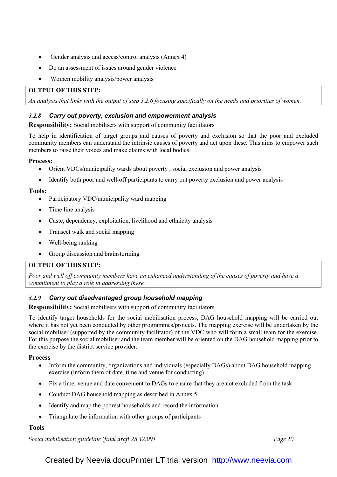- Gender analysis and access/control analysis (Annex 4)
- Do an assessment of issues around gender violence
- Women mobility analysis/power analysis

## OUTPUT OF THIS STEP:

An analysis that links with the output of step 3.2.6 focusing specifically on the needs and priorities of women.

## 3.2.8 Carry out poverty, exclusion and empowerment analysis

Responsibility: Social mobilisers with support of community facilitators

To help in identification of target groups and causes of poverty and exclusion so that the poor and excluded community members can understand the intrinsic causes of poverty and act upon these. This aims to empower such members to raise their voices and make claims with local bodies.

## Process:

- Orient VDCs/municipality wards about poverty, social exclusion and power analysis
- Identify both poor and well-off participants to carry out poverty exclusion and power analysis

## Tools:

- Participatory VDC/municipality ward mapping
- Time line analysis
- Caste, dependency, exploitation, livelihood and ethnicity analysis
- Transect walk and social mapping
- Well-being ranking
- Group discussion and brainstorming

## OUTPUT OF THIS STEP:

Poor and well off community members have an enhanced understanding of the causes of poverty and have a commitment to play a role in addressing these.

# 3.2.9 Carry out disadvantaged group household mapping

Responsibility: Social mobilisers with support of community facilitators

To identify target households for the social mobilisation process, DAG household mapping will be carried out where it has not yet been conducted by other programmes/projects. The mapping exercise will be undertaken by the social mobiliser (supported by the community facilitator) of the VDC who will form a small team for the exercise. For this purpose the social mobiliser and the team member will be oriented on the DAG household mapping prior to the exercise by the district service provider.

## Process

- Inform the community, organizations and individuals (especially DAGs) about DAG household mapping exercise (inform them of date, time and venue for conducting)
- Fix a time, venue and date convenient to DAGs to ensure that they are not excluded from the task
- Conduct DAG household mapping as described in Annex 5
- Identify and map the poorest households and record the information
- Triangulate the information with other groups of participants

## Tools

Social mobilisation guideline (final draft 28.12.09) Social mobilisation guideline (final draft 28.12.09)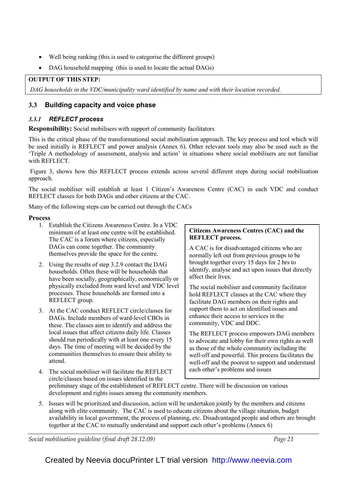- Well being ranking (this is used to categorise the different groups)
- DAG household mapping (this is used to locate the actual DAGs)

## OUTPUT OF THIS STEP:

DAG households in the VDC/municipality ward identified by name and with their location recorded.

## 3.3 Building capacity and voice phase

## 3.3.1 REFLECT process

Responsibility: Social mobilisers with support of community facilitators

This is the critical phase of the transformational social mobilisation approach. The key process and tool which will be used initially is REFLECT and power analysis (Annex 6). Other relevant tools may also be used such as the 'Triple A methodology of assessment, analysis and action' in situations where social mobilisers are not familiar with REFLECT.

 Figure 3, shows how this REFLECT process extends across several different steps during social mobilisation approach.

The social mobiliser will establish at least 1 Citizen's Awareness Centre (CAC) in each VDC and conduct REFLECT classes for both DAGs and other citizens at the CAC.

Many of the following steps can be carried out through the CACs

#### **Process**

- 1. Establish the Citizens Awareness Centre. In a VDC minimum of at least one centre will be established. The CAC is a forum where citizens, especially DAGs can come together. The community themselves provide the space for the centre.
- 2. Using the results of step 3.2.9 contact the DAG households. Often these will be households that have been socially, geographically, economically or physically excluded from ward level and VDC level processes. These households are formed into a REFLECT group.
- 3. At the CAC conduct REFLECT circle/classes for DAGs. Include members of ward-level CBOs in these. The classes aim to identify and address the local issues that affect citizens daily life. Classes should run periodically with at least one every 15 days. The time of meeting will be decided by the communities themselves to ensure their ability to attend.

# 4. The social mobiliser will facilitate the REFLECT circle/classes based on issues identified in the

Citizens Awareness Centres (CAC) and the REFLECT process.

A CAC is for disadvantaged citizens who are normally left out from previous groups to be brought together every 15 days for 2 hrs to identify, analyse and act upon issues that directly affect their lives.

The social mobiliser and community facilitator hold REFLECT classes at the CAC where they facilitate DAG members on their rights and support them to act on identified issues and enhance their access to services in the community, VDC and DDC.

The REFLECT process empowers DAG members to advocate and lobby for their own rights as well as those of the whole community including the well-off and powerful. This process facilitates the well-off and the poorest to support and understand each other's problems and issues

preliminary stage of the establishment of REFLECT centre. There will be discussion on various development and rights issues among the community members.

5. Issues will be prioritized and discussion, action will be undertaken jointly by the members and citizens along with elite community. The CAC is used to educate citizens about the village situation, budget availability in local government, the process of planning, etc. Disadvantaged people and others are brought together at the CAC to mutually understand and support each other's problems (Annex 6)

Social mobilisation guideline (final draft 28.12.09) Social mobilisation guideline (final draft 28.12.09)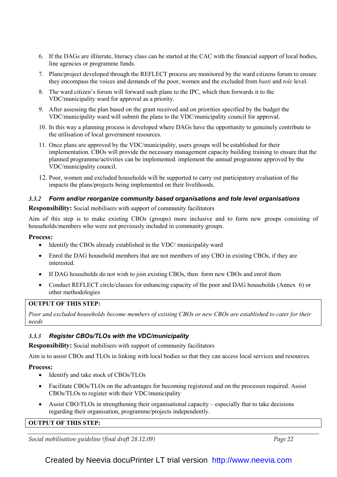- 6. If the DAGs are illiterate, literacy class can be started at the CAC with the financial support of local bodies, line agencies or programme funds.
- 7. Plans/project developed through the REFLECT process are monitored by the ward citizens forum to ensure they encompass the voices and demands of the poor, women and the excluded from basti and tole level.
- 8. The ward citizen's forum will forward such plans to the IPC, which then forwards it to the VDC/municipality ward for approval as a priority.
- 9. After assessing the plan based on the grant received and on priorities specified by the budget the VDC/municipality ward will submit the plans to the VDC/municipality council for approval.
- 10. In this way a planning process is developed where DAGs have the opportunity to genuinely contribute to the utilisation of local government resources.
- 11. Once plans are approved by the VDC/municipality, users groups will be established for their implementation. CBOs will provide the necessary management capacity building training to ensure that the planned programme/activities can be implemented. implement the annual programme approved by the VDC/municipality council.
- 12. Poor, women and excluded households will be supported to carry out participatory evaluation of the impacts the plans/projects being implemented on their livelihoods.

## 3.3.2 Form and/or reorganize community based organisations and tole level organisations

Responsibility: Social mobilisers with support of community facilitators

Aim of this step is to make existing CBOs (groups) more inclusive and to form new groups consisting of households/members who were not previously included in community groups.

#### Process:

- Identify the CBOs already established in the VDC/ municipality ward
- Enrol the DAG household members that are not members of any CBO in existing CBOs, if they are interested.
- If DAG households do not wish to join existing CBOs, then form new CBOs and enrol them
- Conduct REFLECT circle/classes for enhancing capacity of the poor and DAG households (Annex 6) or other methodologies

## OUTPUT OF THIS STEP:

Poor and excluded households become members of existing CBOs or new CBOs are established to cater for their needs

## 3.3.3 Register CBOs/TLOs with the VDC/municipality

Responsibility: Social mobilisers with support of community facilitators

Aim is to assist CBOs and TLOs in linking with local bodies so that they can access local services and resources.

#### Process:

- Identify and take stock of CBOs/TLOs
- Facilitate CBOs/TLOs on the advantages for becoming registered and on the processes required. Assist CBOs/TLOs to register with their VDC/municipality
- Assist CBO/TLOs in strengthening their organisational capacity especially that to take decisions regarding their organisation, programme/projects independently.

## OUTPUT OF THIS STEP:

Social mobilisation guideline (final draft 28.12.09) Social mobilisation guideline (final draft 28.12.09)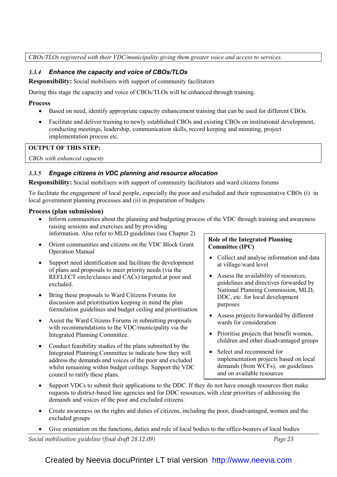## CBOs/TLOs registered with their VDC/municipality giving them greater voice and access to services.

## 3.3.4 Enhance the capacity and voice of CBOs/TLOs

Responsibility: Social mobilisers with support of community facilitators

During this stage the capacity and voice of CBOs/TLOs will be enhanced through training.

## Process

- Based on need, identify appropriate capacity enhancement training that can be used for different CBOs.
- Facilitate and deliver training to newly established CBOs and existing CBOs on institutional development, conducting meetings, leadership, communication skills, record keeping and minuting, project implementation process etc.

## OUTPUT OF THIS STEP:

CBOs with enhanced capacity

## 3.3.5 Engage citizens in VDC planning and resource allocation

Responsibility: Social mobilisers with support of community facilitators and ward citizens forums

To facilitate the engagement of local people, especially the poor and excluded and their representative CBOs (i) in local government planning processes and (ii) in preparation of budgets

## Process (plan submission)

• Inform communities about the planning and budgeting process of the VDC through training and awareness raising sessions and exercises and by providing

information. Also refer to MLD guidelines (see Chapter 2)

- Orient communities and citizens on the VDC Block Grant Operation Manual
- Support need identification and facilitate the development of plans and proposals to meet priority needs (via the REFLECT circle/classes and CACs) targeted at poor and excluded.
- Bring these proposals to Ward Citizens Forums for discussion and prioritisation keeping in mind the plan formulation guidelines and budget ceiling and prioritisation
- Assist the Ward Citizens Forums in submitting proposals with recommendations to the VDC/municipality via the Integrated Planning Committee.
- Conduct feasibility studies of the plans submitted by the Integrated Planning Committee to indicate how they will address the demands and voices of the poor and excluded whilst remaining within budget ceilings. Support the VDC council to ratify these plans.

## Role of the Integrated Planning Committee (IPC)

- Collect and analyse information and data at village/ward level
- Assess the availability of resources, guidelines and directives forwarded by National Planning Commission, MLD, DDC, etc. for local development purposes
- Assess projects forwarded by different wards for consideration
- Prioritise projects that benefit women, children and other disadvantaged groups
- Select and recommend for implementation projects based on local demands (from WCFs), on guidelines and on available resources
- Support VDCs to submit their applications to the DDC. If they do not have enough resources then make requests to district-based line agencies and for DDC resources, with clear priorities of addressing the demands and voices of the poor and excluded citizens.
- Create awareness on the rights and duties of citizens, including the poor, disadvantaged, women and the excluded groups
- Give orientation on the functions, duties and role of local bodies to the office-bearers of local bodies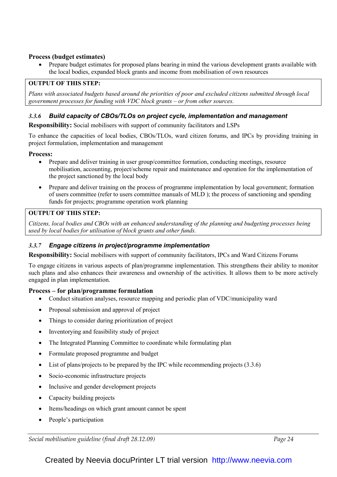## Process (budget estimates)

• Prepare budget estimates for proposed plans bearing in mind the various development grants available with the local bodies, expanded block grants and income from mobilisation of own resources

## OUTPUT OF THIS STEP:

Plans with associated budgets based around the priorities of poor and excluded citizens submitted through local government processes for funding with VDC block grants – or from other sources.

## 3.3.6 Build capacity of CBOs/TLOs on project cycle, implementation and management

Responsibility: Social mobilisers with support of community facilitators and LSPs

To enhance the capacities of local bodies, CBOs/TLOs, ward citizen forums, and IPCs by providing training in project formulation, implementation and management

## Process:

- Prepare and deliver training in user group/committee formation, conducting meetings, resource mobilisation, accounting, project/scheme repair and maintenance and operation for the implementation of the project sanctioned by the local body
- Prepare and deliver training on the process of programme implementation by local government; formation of users committee (refer to users committee manuals of MLD ); the process of sanctioning and spending funds for projects; programme operation work planning

## OUTPUT OF THIS STEP:

Citizens, local bodies and CBOs with an enhanced understanding of the planning and budgeting processes being used by local bodies for utilisation of block grants and other funds.

## 3.3.7 Engage citizens in project/programme implementation

Responsibility: Social mobilisers with support of community facilitators, IPCs and Ward Citizens Forums

To engage citizens in various aspects of plan/programme implementation. This strengthens their ability to monitor such plans and also enhances their awareness and ownership of the activities. It allows them to be more actively engaged in plan implementation.

## Process – for plan/programme formulation

- Conduct situation analyses, resource mapping and periodic plan of VDC/municipality ward
- Proposal submission and approval of project
- Things to consider during prioritization of project
- Inventorying and feasibility study of project
- The Integrated Planning Committee to coordinate while formulating plan
- Formulate proposed programme and budget
- List of plans/projects to be prepared by the IPC while recommending projects  $(3.3.6)$
- Socio-economic infrastructure projects
- Inclusive and gender development projects
- Capacity building projects
- Items/headings on which grant amount cannot be spent
- People's participation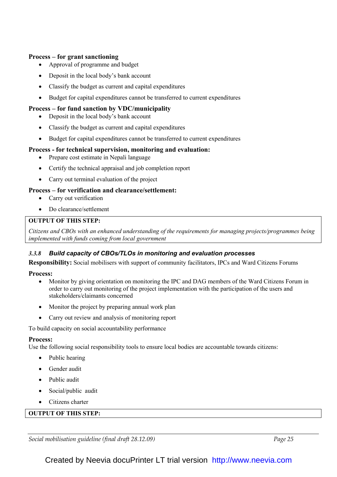## Process – for grant sanctioning

- Approval of programme and budget
- Deposit in the local body's bank account
- Classify the budget as current and capital expenditures
- Budget for capital expenditures cannot be transferred to current expenditures

## Process – for fund sanction by VDC/municipality

- Deposit in the local body's bank account
- Classify the budget as current and capital expenditures
- Budget for capital expenditures cannot be transferred to current expenditures

## Process - for technical supervision, monitoring and evaluation:

- Prepare cost estimate in Nepali language
- Certify the technical appraisal and job completion report
- Carry out terminal evaluation of the project

## Process – for verification and clearance/settlement:

- Carry out verification
- Do clearance/settlement

## OUTPUT OF THIS STEP:

Citizens and CBOs with an enhanced understanding of the requirements for managing projects/programmes being implemented with funds coming from local government

## 3.3.8 Build capacity of CBOs/TLOs in monitoring and evaluation processes

Responsibility: Social mobilisers with support of community facilitators, IPCs and Ward Citizens Forums

## Process:

- Monitor by giving orientation on monitoring the IPC and DAG members of the Ward Citizens Forum in order to carry out monitoring of the project implementation with the participation of the users and stakeholders/claimants concerned
- Monitor the project by preparing annual work plan
- Carry out review and analysis of monitoring report

To build capacity on social accountability performance

#### Process:

Use the following social responsibility tools to ensure local bodies are accountable towards citizens:

- Public hearing
- Gender audit
- Public audit
- Social/public audit
- Citizens charter

## OUTPUT OF THIS STEP:

Social mobilisation guideline (final draft 28.12.09) Social mobilisation guideline (final draft 28.12.09)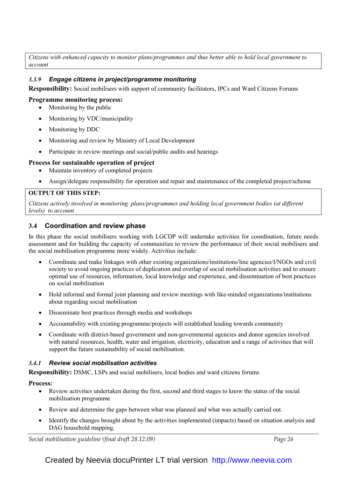Citizens with enhanced capacity to monitor plans/programmes and thus better able to hold local government to account

## 3.3.9 Engage citizens in project/programme monitoring

Responsibility: Social mobilisers with support of community facilitators, IPCs and Ward Citizens Forums

#### Programme monitoring process:

- Monitoring by the public
- Monitoring by VDC/municipality
- Monitoring by DDC
- Monitoring and review by Ministry of Local Development
- Participate in review meetings and social/public audits and hearings

#### Process for sustainable operation of project

- Maintain inventory of completed projects
- Assign/delegate responsibility for operation and repair and maintenance of the completed project/scheme

#### OUTPUT OF THIS STEP:

Citizens actively involved in monitoring plans/programmes and holding local government bodies (at different levels) to account

## 3.4 Coordination and review phase

In this phase the social mobilisers working with LGCDP will undertake activities for coordination, future needs assessment and for building the capacity of communities to review the performance of their social mobilisers and the social mobilisation programme more widely. Activities include:

- Coordinate and make linkages with other existing organizations/institutions/line agencies/I/NGOs and civil society to avoid ongoing practices of duplication and overlap of social mobilisation activities and to ensure optimal use of resources, information, local knowledge and experience, and dissemination of best practices on social mobilisation
- Hold informal and formal joint planning and review meetings with like-minded organizations/institutions about regarding social mobilisation
- Disseminate best practices through media and workshops
- Accountability with existing programme/projects will established leading towards community
- Coordinate with district-based government and non-governmental agencies and donor agencies involved with natural resources, health, water and irrigation, electricity, education and a range of activities that will support the future sustainability of social mobilisation.

## 3.4.1 Review social mobilisation activities

Responsibility: DSMC, LSPs and social mobilisers, local bodies and ward citizens forums

#### Process:

- Review activities undertaken during the first, second and third stages to know the status of the social mobilisation programme
- Review and determine the gaps between what was planned and what was actually carried out.
- Identify the changes brought about by the activities implemented (impacts) based on situation analysis and DAG household mapping.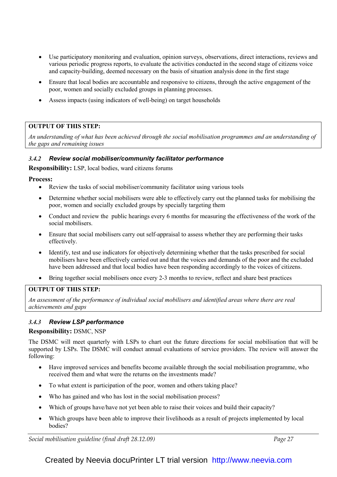- Use participatory monitoring and evaluation, opinion surveys, observations, direct interactions, reviews and various periodic progress reports, to evaluate the activities conducted in the second stage of citizens voice and capacity-building, deemed necessary on the basis of situation analysis done in the first stage
- Ensure that local bodies are accountable and responsive to citizens, through the active engagement of the poor, women and socially excluded groups in planning processes.
- Assess impacts (using indicators of well-being) on target households

## OUTPUT OF THIS STEP:

An understanding of what has been achieved through the social mobilisation programmes and an understanding of the gaps and remaining issues

## 3.4.2 Review social mobiliser/community facilitator performance

Responsibility: LSP, local bodies, ward citizens forums

#### Process:

- Review the tasks of social mobiliser/community facilitator using various tools
- Determine whether social mobilisers were able to effectively carry out the planned tasks for mobilising the poor, women and socially excluded groups by specially targeting them
- Conduct and review the public hearings every 6 months for measuring the effectiveness of the work of the social mobilisers.
- Ensure that social mobilisers carry out self-appraisal to assess whether they are performing their tasks effectively.
- Identify, test and use indicators for objectively determining whether that the tasks prescribed for social mobilisers have been effectively carried out and that the voices and demands of the poor and the excluded have been addressed and that local bodies have been responding accordingly to the voices of citizens.
- Bring together social mobilisers once every 2-3 months to review, reflect and share best practices

## OUTPUT OF THIS STEP:

An assessment of the performance of individual social mobilisers and identified areas where there are real achievements and gaps

## 3.4.3 Review LSP performance

## Responsibility: DSMC, NSP

The DSMC will meet quarterly with LSPs to chart out the future directions for social mobilisation that will be supported by LSPs. The DSMC will conduct annual evaluations of service providers. The review will answer the following:

- Have improved services and benefits become available through the social mobilisation programme, who received them and what were the returns on the investments made?
- To what extent is participation of the poor, women and others taking place?
- Who has gained and who has lost in the social mobilisation process?
- Which of groups have/have not yet been able to raise their voices and build their capacity?
- Which groups have been able to improve their livelihoods as a result of projects implemented by local bodies?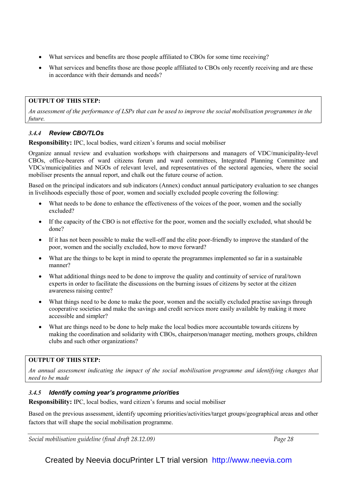- What services and benefits are those people affiliated to CBOs for some time receiving?
- What services and benefits those are those people affiliated to CBOs only recently receiving and are these in accordance with their demands and needs?

## OUTPUT OF THIS STEP:

An assessment of the performance of LSPs that can be used to improve the social mobilisation programmes in the future.

## 3.4.4 Review CBO/TLOs

Responsibility: IPC, local bodies, ward citizen's forums and social mobiliser

Organize annual review and evaluation workshops with chairpersons and managers of VDC/municipality-level CBOs, office-bearers of ward citizens forum and ward committees, Integrated Planning Committee and VDCs/municipalities and NGOs of relevant level, and representatives of the sectoral agencies, where the social mobiliser presents the annual report, and chalk out the future course of action.

Based on the principal indicators and sub indicators (Annex) conduct annual participatory evaluation to see changes in livelihoods especially those of poor, women and socially excluded people covering the following:

- What needs to be done to enhance the effectiveness of the voices of the poor, women and the socially excluded?
- If the capacity of the CBO is not effective for the poor, women and the socially excluded, what should be done?
- If it has not been possible to make the well-off and the elite poor-friendly to improve the standard of the poor, women and the socially excluded, how to move forward?
- What are the things to be kept in mind to operate the programmes implemented so far in a sustainable manner?
- What additional things need to be done to improve the quality and continuity of service of rural/town experts in order to facilitate the discussions on the burning issues of citizens by sector at the citizen awareness raising centre?
- What things need to be done to make the poor, women and the socially excluded practise savings through cooperative societies and make the savings and credit services more easily available by making it more accessible and simpler?
- What are things need to be done to help make the local bodies more accountable towards citizens by making the coordination and solidarity with CBOs, chairperson/manager meeting, mothers groups, children clubs and such other organizations?

## OUTPUT OF THIS STEP:

An annual assessment indicating the impact of the social mobilisation programme and identifying changes that need to be made

## 3.4.5 Identify coming year's programme priorities

Responsibility: IPC, local bodies, ward citizen's forums and social mobiliser

Based on the previous assessment, identify upcoming priorities/activities/target groups/geographical areas and other factors that will shape the social mobilisation programme.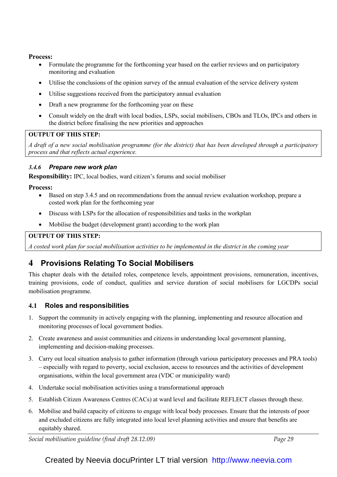## Process:

- Formulate the programme for the forthcoming year based on the earlier reviews and on participatory monitoring and evaluation
- Utilise the conclusions of the opinion survey of the annual evaluation of the service delivery system
- Utilise suggestions received from the participatory annual evaluation
- Draft a new programme for the forthcoming year on these
- Consult widely on the draft with local bodies, LSPs, social mobilisers, CBOs and TLOs, IPCs and others in the district before finalising the new priorities and approaches

## OUTPUT OF THIS STEP:

A draft of a new social mobilisation programme (for the district) that has been developed through a participatory process and that reflects actual experience.

## 3.4.6 Prepare new work plan

Responsibility: IPC, local bodies, ward citizen's forums and social mobiliser

## Process:

- Based on step 3.4.5 and on recommendations from the annual review evaluation workshop, prepare a costed work plan for the forthcoming year
- Discuss with LSPs for the allocation of responsibilities and tasks in the workplan
- Mobilise the budget (development grant) according to the work plan

## OUTPUT OF THIS STEP:

A costed work plan for social mobilisation activities to be implemented in the district in the coming year

# 4 Provisions Relating To Social Mobilisers

This chapter deals with the detailed roles, competence levels, appointment provisions, remuneration, incentives, training provisions, code of conduct, qualities and service duration of social mobilisers for LGCDPs social mobilisation programme.

## 4.1 Roles and responsibilities

- 1. Support the community in actively engaging with the planning, implementing and resource allocation and monitoring processes of local government bodies.
- 2. Create awareness and assist communities and citizens in understanding local government planning, implementing and decision-making processes.
- 3. Carry out local situation analysis to gather information (through various participatory processes and PRA tools) – especially with regard to poverty, social exclusion, access to resources and the activities of development organisations, within the local government area (VDC or municipality ward)
- 4. Undertake social mobilisation activities using a transformational approach
- 5. Establish Citizen Awareness Centres (CACs) at ward level and facilitate REFLECT classes through these.
- 6. Mobilise and build capacity of citizens to engage with local body processes. Ensure that the interests of poor and excluded citizens are fully integrated into local level planning activities and ensure that benefits are equitably shared.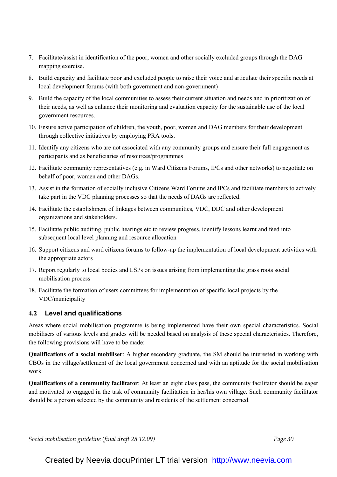- 7. Facilitate/assist in identification of the poor, women and other socially excluded groups through the DAG mapping exercise.
- 8. Build capacity and facilitate poor and excluded people to raise their voice and articulate their specific needs at local development forums (with both government and non-government)
- 9. Build the capacity of the local communities to assess their current situation and needs and in prioritization of their needs, as well as enhance their monitoring and evaluation capacity for the sustainable use of the local government resources.
- 10. Ensure active participation of children, the youth, poor, women and DAG members for their development through collective initiatives by employing PRA tools.
- 11. Identify any citizens who are not associated with any community groups and ensure their full engagement as participants and as beneficiaries of resources/programmes
- 12. Facilitate community representatives (e.g. in Ward Citizens Forums, IPCs and other networks) to negotiate on behalf of poor, women and other DAGs.
- 13. Assist in the formation of socially inclusive Citizens Ward Forums and IPCs and facilitate members to actively take part in the VDC planning processes so that the needs of DAGs are reflected.
- 14. Facilitate the establishment of linkages between communities, VDC, DDC and other development organizations and stakeholders.
- 15. Facilitate public auditing, public hearings etc to review progress, identify lessons learnt and feed into subsequent local level planning and resource allocation
- 16. Support citizens and ward citizens forums to follow-up the implementation of local development activities with the appropriate actors
- 17. Report regularly to local bodies and LSPs on issues arising from implementing the grass roots social mobilisation process
- 18. Facilitate the formation of users committees for implementation of specific local projects by the VDC/municipality

# 4.2 Level and qualifications

Areas where social mobilisation programme is being implemented have their own special characteristics. Social mobilisers of various levels and grades will be needed based on analysis of these special characteristics. Therefore, the following provisions will have to be made:

Qualifications of a social mobiliser: A higher secondary graduate, the SM should be interested in working with CBOs in the village/settlement of the local government concerned and with an aptitude for the social mobilisation work.

Qualifications of a community facilitator: At least an eight class pass, the community facilitator should be eager and motivated to engaged in the task of community facilitation in her/his own village. Such community facilitator should be a person selected by the community and residents of the settlement concerned.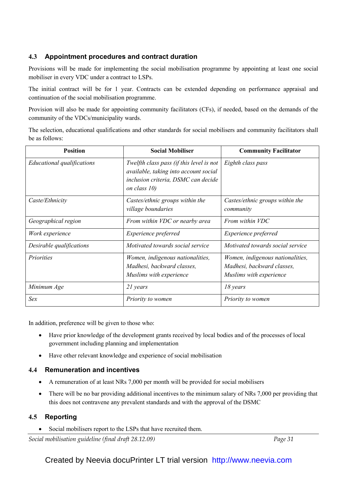# 4.3 Appointment procedures and contract duration

Provisions will be made for implementing the social mobilisation programme by appointing at least one social mobiliser in every VDC under a contract to LSPs.

The initial contract will be for 1 year. Contracts can be extended depending on performance appraisal and continuation of the social mobilisation programme.

Provision will also be made for appointing community facilitators (CFs), if needed, based on the demands of the community of the VDCs/municipality wards.

The selection, educational qualifications and other standards for social mobilisers and community facilitators shall be as follows:

| <b>Position</b>                   | <b>Social Mobiliser</b>                                                                                                                  | <b>Community Facilitator</b>                                                              |  |  |
|-----------------------------------|------------------------------------------------------------------------------------------------------------------------------------------|-------------------------------------------------------------------------------------------|--|--|
| <b>Educational qualifications</b> | Twelfth class pass (if this level is not<br>available, taking into account social<br>inclusion criteria, DSMC can decide<br>on class 10) | Eighth class pass                                                                         |  |  |
| Caste/Ethnicity                   | Castes/ethnic groups within the<br>village boundaries                                                                                    | Castes/ethnic groups within the<br>community                                              |  |  |
| Geographical region               | From within VDC or nearby area                                                                                                           | From within VDC                                                                           |  |  |
| Work experience                   | Experience preferred                                                                                                                     | Experience preferred                                                                      |  |  |
| Desirable qualifications          | Motivated towards social service                                                                                                         | Motivated towards social service                                                          |  |  |
| Priorities                        | Women, indigenous nationalities,<br>Madhesi, backward classes,<br>Muslims with experience                                                | Women, indigenous nationalities,<br>Madhesi, backward classes,<br>Muslims with experience |  |  |
| Minimum Age                       | 21 years                                                                                                                                 | 18 years                                                                                  |  |  |
| Sex                               | Priority to women                                                                                                                        | Priority to women                                                                         |  |  |

In addition, preference will be given to those who:

- Have prior knowledge of the development grants received by local bodies and of the processes of local government including planning and implementation
- Have other relevant knowledge and experience of social mobilisation

## 4.4 Remuneration and incentives

- A remuneration of at least NRs 7,000 per month will be provided for social mobilisers
- There will be no bar providing additional incentives to the minimum salary of NRs 7,000 per providing that this does not contravene any prevalent standards and with the approval of the DSMC

## 4.5 Reporting

Social mobilisers report to the LSPs that have recruited them.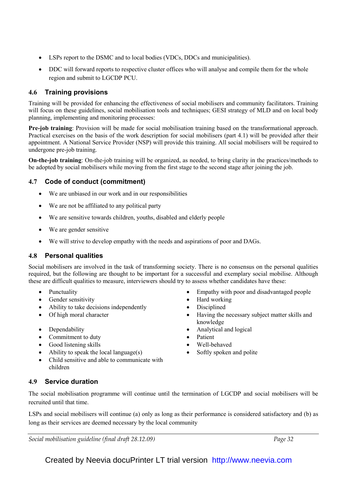- LSPs report to the DSMC and to local bodies (VDCs, DDCs and municipalities).
- DDC will forward reports to respective cluster offices who will analyse and compile them for the whole region and submit to LGCDP PCU.

# 4.6 Training provisions

Training will be provided for enhancing the effectiveness of social mobilisers and community facilitators. Training will focus on these guidelines, social mobilisation tools and techniques; GESI strategy of MLD and on local body planning, implementing and monitoring processes:

Pre-job training: Provision will be made for social mobilisation training based on the transformational approach. Practical exercises on the basis of the work description for social mobilisers (part 4.1) will be provided after their appointment. A National Service Provider (NSP) will provide this training. All social mobilisers will be required to undergone pre-job training.

On-the-job training: On-the-job training will be organized, as needed, to bring clarity in the practices/methods to be adopted by social mobilisers while moving from the first stage to the second stage after joining the job.

# 4.7 Code of conduct (commitment)

- We are unbiased in our work and in our responsibilities
- We are not be affiliated to any political party
- We are sensitive towards children, youths, disabled and elderly people
- We are gender sensitive
- We will strive to develop empathy with the needs and aspirations of poor and DAGs.

# 4.8 Personal qualities

Social mobilisers are involved in the task of transforming society. There is no consensus on the personal qualities required, but the following are thought to be important for a successful and exemplary social mobilise. Although these are difficult qualities to measure, interviewers should try to assess whether candidates have these:

- 
- Gender sensitivity Hard working
- Ability to take decisions independently <br> Disciplined
- 
- 
- Commitment to duty  **Patient**
- Good listening skills Well-behaved
- Ability to speak the local language(s) Softly spoken and polite
- Child sensitive and able to communicate with children
- Punctuality Empathy with poor and disadvantaged people
	-
	-
- Of high moral character Having the necessary subject matter skills and knowledge
- Dependability Analytical and logical
	-
	-
	-

# 4.9 Service duration

The social mobilisation programme will continue until the termination of LGCDP and social mobilisers will be recruited until that time.

LSPs and social mobilisers will continue (a) only as long as their performance is considered satisfactory and (b) as long as their services are deemed necessary by the local community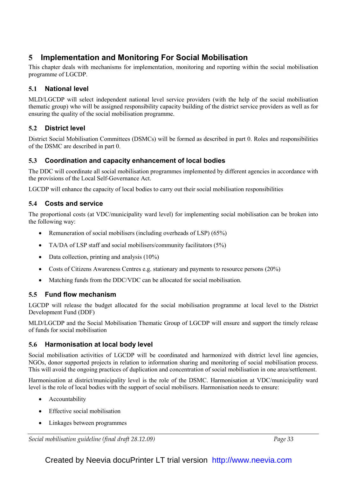# 5 Implementation and Monitoring For Social Mobilisation

This chapter deals with mechanisms for implementation, monitoring and reporting within the social mobilisation programme of LGCDP.

# 5.1 National level

MLD/LGCDP will select independent national level service providers (with the help of the social mobilisation thematic group) who will be assigned responsibility capacity building of the district service providers as well as for ensuring the quality of the social mobilisation programme.

# 5.2 District level

District Social Mobilisation Committees (DSMCs) will be formed as described in part 0. Roles and responsibilities of the DSMC are described in part 0.

# 5.3 Coordination and capacity enhancement of local bodies

The DDC will coordinate all social mobilisation programmes implemented by different agencies in accordance with the provisions of the Local Self-Governance Act.

LGCDP will enhance the capacity of local bodies to carry out their social mobilisation responsibilities

# 5.4 Costs and service

The proportional costs (at VDC/municipality ward level) for implementing social mobilisation can be broken into the following way:

- Remuneration of social mobilisers (including overheads of LSP) (65%)
- TA/DA of LSP staff and social mobilisers/community facilitators (5%)
- Data collection, printing and analysis (10%)
- Costs of Citizens Awareness Centres e.g. stationary and payments to resource persons (20%)
- Matching funds from the DDC/VDC can be allocated for social mobilisation.

# 5.5 Fund flow mechanism

LGCDP will release the budget allocated for the social mobilisation programme at local level to the District Development Fund (DDF)

MLD/LGCDP and the Social Mobilisation Thematic Group of LGCDP will ensure and support the timely release of funds for social mobilisation

# 5.6 Harmonisation at local body level

Social mobilisation activities of LGCDP will be coordinated and harmonized with district level line agencies, NGOs, donor supported projects in relation to information sharing and monitoring of social mobilisation process. This will avoid the ongoing practices of duplication and concentration of social mobilisation in one area/settlement.

Harmonisation at district/municipality level is the role of the DSMC. Harmonisation at VDC/municipality ward level is the role of local bodies with the support of social mobilisers. Harmonisation needs to ensure:

- Accountability
- Effective social mobilisation
- Linkages between programmes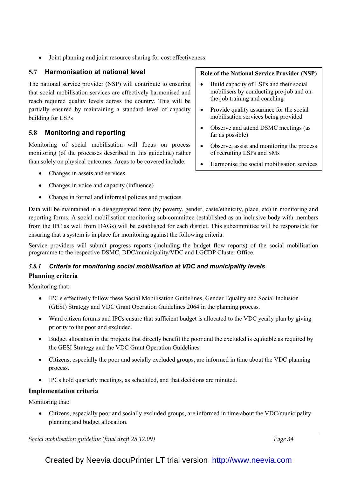• Joint planning and joint resource sharing for cost effectiveness

# 5.7 Harmonisation at national level

The national service provider (NSP) will contribute to ensuring that social mobilisation services are effectively harmonised and reach required quality levels across the country. This will be partially ensured by maintaining a standard level of capacity building for LSPs

# 5.8 Monitoring and reporting

Monitoring of social mobilisation will focus on process monitoring (of the processes described in this guideline) rather than solely on physical outcomes. Areas to be covered include:

- Changes in assets and services
- Changes in voice and capacity (influence)
- Change in formal and informal policies and practices

Data will be maintained in a disaggregated form (by poverty, gender, caste/ethnicity, place, etc) in monitoring and reporting forms. A social mobilisation monitoring sub-committee (established as an inclusive body with members from the IPC as well from DAGs) will be established for each district. This subcommittee will be responsible for ensuring that a system is in place for monitoring against the following criteria.

Service providers will submit progress reports (including the budget flow reports) of the social mobilisation programme to the respective DSMC, DDC/municipality/VDC and LGCDP Cluster Office.

# 5.8.1 Criteria for monitoring social mobilisation at VDC and municipality levels Planning criteria

Monitoring that:

- IPC s effectively follow these Social Mobilisation Guidelines, Gender Equality and Social Inclusion (GESI) Strategy and VDC Grant Operation Guidelines 2064 in the planning process.
- Ward citizen forums and IPCs ensure that sufficient budget is allocated to the VDC yearly plan by giving priority to the poor and excluded.
- Budget allocation in the projects that directly benefit the poor and the excluded is equitable as required by the GESI Strategy and the VDC Grant Operation Guidelines
- Citizens, especially the poor and socially excluded groups, are informed in time about the VDC planning process.
- IPCs hold quarterly meetings, as scheduled, and that decisions are minuted.

# Implementation criteria

Monitoring that:

• Citizens, especially poor and socially excluded groups, are informed in time about the VDC/municipality planning and budget allocation.

Social mobilisation guideline (final draft 28.12.09) Social mobilisation guideline (final draft 28.12.09)

Role of the National Service Provider (NSP)

- Build capacity of LSPs and their social mobilisers by conducting pre-job and onthe-job training and coaching
- Provide quality assurance for the social mobilisation services being provided
- Observe and attend DSMC meetings (as far as possible)
- Observe, assist and monitoring the process of recruiting LSPs and SMs
- Harmonise the social mobilisation services being provided across Nepal (with MLD)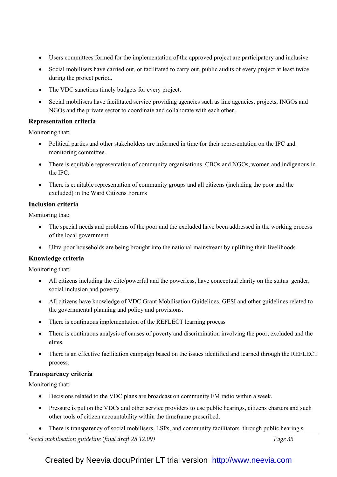- Users committees formed for the implementation of the approved project are participatory and inclusive
- Social mobilisers have carried out, or facilitated to carry out, public audits of every project at least twice during the project period.
- The VDC sanctions timely budgets for every project.
- Social mobilisers have facilitated service providing agencies such as line agencies, projects, INGOs and NGOs and the private sector to coordinate and collaborate with each other.

## Representation criteria

Monitoring that:

- Political parties and other stakeholders are informed in time for their representation on the IPC and monitoring committee.
- There is equitable representation of community organisations, CBOs and NGOs, women and indigenous in the IPC.
- There is equitable representation of community groups and all citizens (including the poor and the excluded) in the Ward Citizens Forums

## Inclusion criteria

Monitoring that:

- The special needs and problems of the poor and the excluded have been addressed in the working process of the local government.
- Ultra poor households are being brought into the national mainstream by uplifting their livelihoods

## Knowledge criteria

## Monitoring that:

- All citizens including the elite/powerful and the powerless, have conceptual clarity on the status gender, social inclusion and poverty.
- All citizens have knowledge of VDC Grant Mobilisation Guidelines, GESI and other guidelines related to the governmental planning and policy and provisions.
- There is continuous implementation of the REFLECT learning process
- There is continuous analysis of causes of poverty and discrimination involving the poor, excluded and the elites.
- There is an effective facilitation campaign based on the issues identified and learned through the REFLECT process.

## Transparency criteria

Monitoring that:

- Decisions related to the VDC plans are broadcast on community FM radio within a week.
- Pressure is put on the VDCs and other service providers to use public hearings, citizens charters and such other tools of citizen accountability within the timeframe prescribed.
- There is transparency of social mobilisers, LSPs, and community facilitators through public hearing s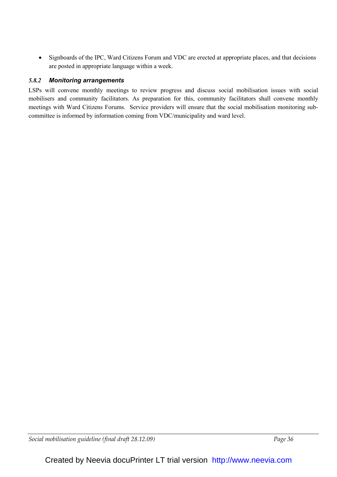• Signboards of the IPC, Ward Citizens Forum and VDC are erected at appropriate places, and that decisions are posted in appropriate language within a week.

## 5.8.2 Monitoring arrangements

LSPs will convene monthly meetings to review progress and discuss social mobilisation issues with social mobilisers and community facilitators. As preparation for this, community facilitators shall convene monthly meetings with Ward Citizens Forums. Service providers will ensure that the social mobilisation monitoring subcommittee is informed by information coming from VDC/municipality and ward level.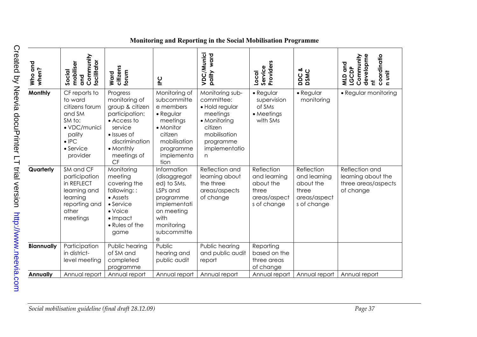| Who and<br>when?  | Community<br>facilitator<br>mobiliser<br>Social<br>and                                                                             | citizens<br>forum<br>Ward                                                                                                                                      | P <sub>C</sub>                                                                                                                                         | VDC/Munici<br>ward<br>pality                                                                                                              | Service<br>Providers<br>Local                                                   | DDC &<br>DSMC                                                                   | developme<br>coordinatio<br>Community<br>and<br><b>LGCDP</b><br>n unit<br>QIM<br>ᄒ |
|-------------------|------------------------------------------------------------------------------------------------------------------------------------|----------------------------------------------------------------------------------------------------------------------------------------------------------------|--------------------------------------------------------------------------------------------------------------------------------------------------------|-------------------------------------------------------------------------------------------------------------------------------------------|---------------------------------------------------------------------------------|---------------------------------------------------------------------------------|------------------------------------------------------------------------------------|
| Monthly           | CF reports to<br>to ward<br>citizens forum<br>and SM<br>SM to:<br>• VDC/munici<br>pality<br>$\bullet$ IPC<br>• Service<br>provider | Progress<br>monitoring of<br>group & citizen<br>participation:<br>• Access to<br>service<br>• Issues of<br>discrimination<br>• Monthly<br>meetings of<br>CF    | Monitoring of<br>subcommitte<br>e members<br>$\bullet$ Regular<br>meetings<br>• Monitor<br>citizen<br>mobilisation<br>programme<br>implementa<br>tion  | Monitoring sub-<br>committee:<br>· Hold regular<br>meetings<br>• Monitoring<br>citizen<br>mobilisation<br>programme<br>implementatio<br>n | $\bullet$ Regular<br>supervision<br>of SMs<br>• Meetings<br>with SMs            | $\bullet$ Regular<br>monitoring                                                 | • Regular monitoring                                                               |
| Quarterly         | SM and CF<br>participation<br>in REFLECT<br>learning and<br>learning<br>reporting and<br>other<br>meetings                         | Monitoring<br>meeting<br>covering the<br>following::<br>$\bullet$ Assets<br>$\bullet$ Service<br>$\bullet$ Voice<br>$\bullet$ Impact<br>• Rules of the<br>game | Information<br>(disaggregat<br>ed) to SMs,<br>LSPs and<br>programme<br>implementati<br>on meeting<br>with<br>monitoring<br>subcommitte<br>$\mathsf{e}$ | Reflection and<br>learning about<br>the three<br>areas/aspects<br>of change                                                               | Reflection<br>and learning<br>about the<br>three<br>areas/aspect<br>s of change | Reflection<br>and learning<br>about the<br>three<br>areas/aspect<br>s of change | Reflection and<br>learning about the<br>three areas/aspects<br>of change           |
| <b>Biannually</b> | Participation<br>in district-<br>level meeting                                                                                     | Public hearing<br>of SM and<br>completed<br>programme                                                                                                          | Public<br>hearing and<br>public audit                                                                                                                  | Public hearing<br>and public audit<br>report                                                                                              | Reporting<br>based on the<br>three areas<br>of change                           |                                                                                 |                                                                                    |
| <b>Annually</b>   | Annual report                                                                                                                      | Annual report                                                                                                                                                  | Annual report                                                                                                                                          | Annual report                                                                                                                             | Annual report                                                                   | Annual report                                                                   | Annual report                                                                      |
|                   |                                                                                                                                    |                                                                                                                                                                |                                                                                                                                                        |                                                                                                                                           |                                                                                 |                                                                                 |                                                                                    |

# Monitoring and Reporting in the Social Mobilisation Programme